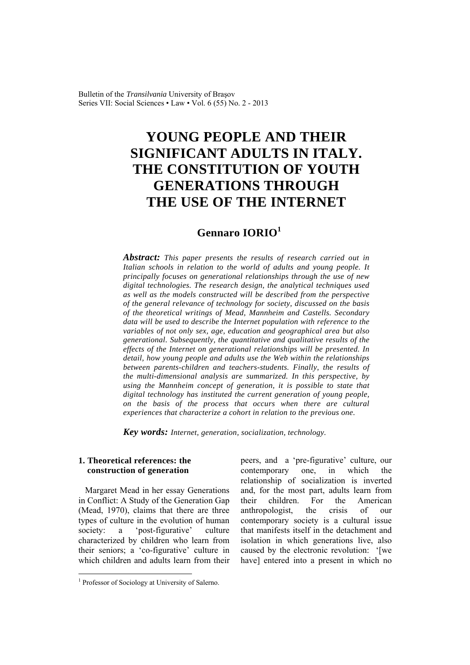Bulletin of the *Transilvania* University of Braşov Series VII: Social Sciences • Law • Vol. 6 (55) No. 2 - 2013

# **YOUNG PEOPLE AND THEIR SIGNIFICANT ADULTS IN ITALY. THE CONSTITUTION OF YOUTH GENERATIONS THROUGH THE USE OF THE INTERNET**

# **Gennaro IORIO<sup>1</sup>**

*Abstract: This paper presents the results of research carried out in Italian schools in relation to the world of adults and young people. It principally focuses on generational relationships through the use of new digital technologies. The research design, the analytical techniques used as well as the models constructed will be described from the perspective of the general relevance of technology for society, discussed on the basis of the theoretical writings of Mead, Mannheim and Castells. Secondary data will be used to describe the Internet population with reference to the variables of not only sex, age, education and geographical area but also generational. Subsequently, the quantitative and qualitative results of the effects of the Internet on generational relationships will be presented. In detail, how young people and adults use the Web within the relationships between parents-children and teachers-students. Finally, the results of the multi-dimensional analysis are summarized. In this perspective, by using the Mannheim concept of generation, it is possible to state that digital technology has instituted the current generation of young people, on the basis of the process that occurs when there are cultural experiences that characterize a cohort in relation to the previous one.* 

*Key words: Internet, generation, socialization, technology.*

### **1. Theoretical references: the construction of generation**

Margaret Mead in her essay Generations in Conflict: A Study of the Generation Gap (Mead, 1970), claims that there are three types of culture in the evolution of human society: a 'post-figurative' culture characterized by children who learn from their seniors; a 'co-figurative' culture in which children and adults learn from their

<sup>1</sup> Professor of Sociology at University of Salerno.

 $\overline{a}$ 

peers, and a 'pre-figurative' culture, our contemporary one, in which the relationship of socialization is inverted and, for the most part, adults learn from their children. For the American anthropologist, the crisis of our contemporary society is a cultural issue that manifests itself in the detachment and isolation in which generations live, also caused by the electronic revolution: '[we have] entered into a present in which no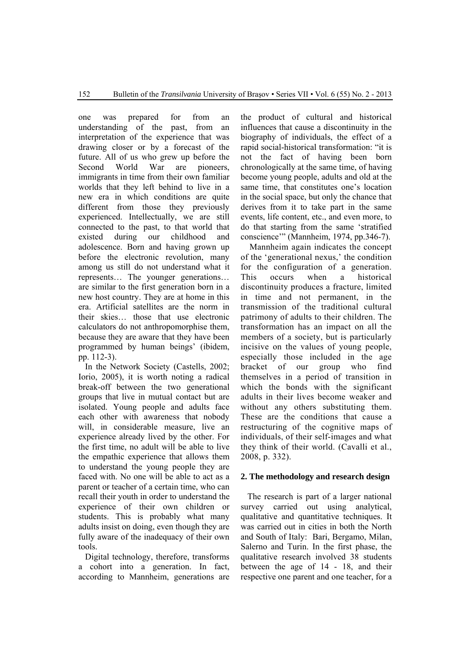one was prepared for from an understanding of the past, from an interpretation of the experience that was drawing closer or by a forecast of the future. All of us who grew up before the Second World War are pioneers, immigrants in time from their own familiar worlds that they left behind to live in a new era in which conditions are quite different from those they previously experienced. Intellectually, we are still connected to the past, to that world that existed during our childhood and adolescence. Born and having grown up before the electronic revolution, many among us still do not understand what it represents… The younger generations… are similar to the first generation born in a new host country. They are at home in this era. Artificial satellites are the norm in their skies… those that use electronic calculators do not anthropomorphise them, because they are aware that they have been programmed by human beings' (ibidem, pp. 112-3).

In the Network Society (Castells, 2002; Iorio, 2005), it is worth noting a radical break-off between the two generational groups that live in mutual contact but are isolated. Young people and adults face each other with awareness that nobody will, in considerable measure, live an experience already lived by the other. For the first time, no adult will be able to live the empathic experience that allows them to understand the young people they are faced with. No one will be able to act as a parent or teacher of a certain time, who can recall their youth in order to understand the experience of their own children or students. This is probably what many adults insist on doing, even though they are fully aware of the inadequacy of their own tools.

Digital technology, therefore, transforms a cohort into a generation. In fact, according to Mannheim, generations are

the product of cultural and historical influences that cause a discontinuity in the biography of individuals, the effect of a rapid social-historical transformation: "it is not the fact of having been born chronologically at the same time, of having become young people, adults and old at the same time, that constitutes one's location in the social space, but only the chance that derives from it to take part in the same events, life content, etc., and even more, to do that starting from the same 'stratified conscience'" (Mannheim, 1974, pp.346-7).

 Mannheim again indicates the concept of the 'generational nexus,' the condition for the configuration of a generation. This occurs when a historical discontinuity produces a fracture, limited in time and not permanent, in the transmission of the traditional cultural patrimony of adults to their children. The transformation has an impact on all the members of a society, but is particularly incisive on the values of young people, especially those included in the age bracket of our group who find themselves in a period of transition in which the bonds with the significant adults in their lives become weaker and without any others substituting them. These are the conditions that cause a restructuring of the cognitive maps of individuals, of their self-images and what they think of their world. (Cavalli et al., 2008, p. 332).

#### **2. The methodology and research design**

The research is part of a larger national survey carried out using analytical, qualitative and quantitative techniques. It was carried out in cities in both the North and South of Italy: Bari, Bergamo, Milan, Salerno and Turin. In the first phase, the qualitative research involved 38 students between the age of 14 - 18, and their respective one parent and one teacher, for a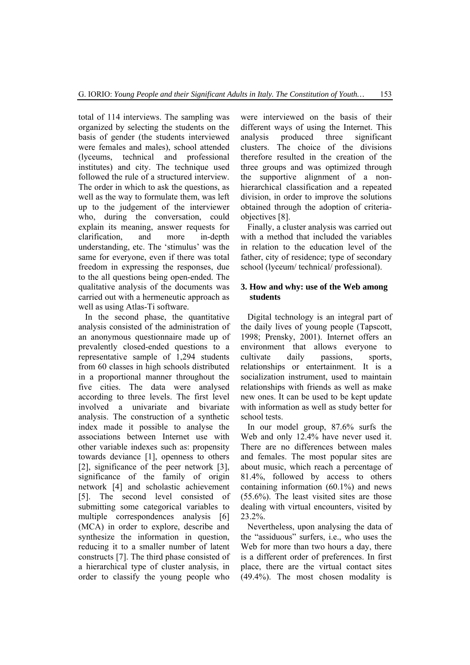total of 114 interviews. The sampling was organized by selecting the students on the basis of gender (the students interviewed were females and males), school attended (lyceums, technical and professional institutes) and city. The technique used followed the rule of a structured interview. The order in which to ask the questions, as well as the way to formulate them, was left up to the judgement of the interviewer who, during the conversation, could explain its meaning, answer requests for clarification, and more in-depth understanding, etc. The 'stimulus' was the same for everyone, even if there was total freedom in expressing the responses, due to the all questions being open-ended. The qualitative analysis of the documents was carried out with a hermeneutic approach as well as using Atlas-Ti software.

In the second phase, the quantitative analysis consisted of the administration of an anonymous questionnaire made up of prevalently closed-ended questions to a representative sample of 1,294 students from 60 classes in high schools distributed in a proportional manner throughout the five cities. The data were analysed according to three levels. The first level involved a univariate and bivariate analysis. The construction of a synthetic index made it possible to analyse the associations between Internet use with other variable indexes such as: propensity towards deviance [1], openness to others [2], significance of the peer network [3], significance of the family of origin network [4] and scholastic achievement [5]. The second level consisted of submitting some categorical variables to multiple correspondences analysis [6] (MCA) in order to explore, describe and synthesize the information in question, reducing it to a smaller number of latent constructs [7]. The third phase consisted of a hierarchical type of cluster analysis, in order to classify the young people who

were interviewed on the basis of their different ways of using the Internet. This analysis produced three significant clusters. The choice of the divisions therefore resulted in the creation of the three groups and was optimized through the supportive alignment of a nonhierarchical classification and a repeated division, in order to improve the solutions obtained through the adoption of criteriaobjectives [8].

Finally, a cluster analysis was carried out with a method that included the variables in relation to the education level of the father, city of residence; type of secondary school (lyceum/ technical/ professional).

#### **3. How and why: use of the Web among students**

Digital technology is an integral part of the daily lives of young people (Tapscott, 1998; Prensky, 2001). Internet offers an environment that allows everyone to cultivate daily passions, sports, relationships or entertainment. It is a socialization instrument, used to maintain relationships with friends as well as make new ones. It can be used to be kept update with information as well as study better for school tests.

In our model group, 87.6% surfs the Web and only 12.4% have never used it. There are no differences between males and females. The most popular sites are about music, which reach a percentage of 81.4%, followed by access to others containing information (60.1%) and news (55.6%). The least visited sites are those dealing with virtual encounters, visited by 23.2%.

Nevertheless, upon analysing the data of the "assiduous" surfers, i.e., who uses the Web for more than two hours a day, there is a different order of preferences. In first place, there are the virtual contact sites (49.4%). The most chosen modality is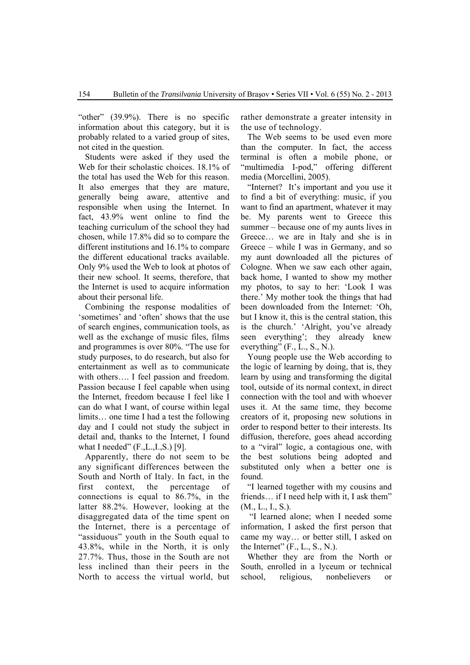"other" (39.9%). There is no specific information about this category, but it is probably related to a varied group of sites, not cited in the question.

Students were asked if they used the Web for their scholastic choices. 18.1% of the total has used the Web for this reason. It also emerges that they are mature, generally being aware, attentive and responsible when using the Internet. In fact, 43.9% went online to find the teaching curriculum of the school they had chosen, while 17.8% did so to compare the different institutions and 16.1% to compare the different educational tracks available. Only 9% used the Web to look at photos of their new school. It seems, therefore, that the Internet is used to acquire information about their personal life.

Combining the response modalities of 'sometimes' and 'often' shows that the use of search engines, communication tools, as well as the exchange of music files, films and programmes is over 80%. "The use for study purposes, to do research, but also for entertainment as well as to communicate with others.... I feel passion and freedom. Passion because I feel capable when using the Internet, freedom because I feel like I can do what I want, of course within legal limits… one time I had a test the following day and I could not study the subject in detail and, thanks to the Internet, I found what I needed" (F.,L.,I.,S.) [9].

Apparently, there do not seem to be any significant differences between the South and North of Italy. In fact, in the first context, the percentage of connections is equal to 86.7%, in the latter 88.2%. However, looking at the disaggregated data of the time spent on the Internet, there is a percentage of "assiduous" youth in the South equal to 43.8%, while in the North, it is only 27.7%. Thus, those in the South are not less inclined than their peers in the North to access the virtual world, but

rather demonstrate a greater intensity in the use of technology.

The Web seems to be used even more than the computer. In fact, the access terminal is often a mobile phone, or "multimedia I-pod," offering different media (Morcellini, 2005).

"Internet? It's important and you use it to find a bit of everything: music, if you want to find an apartment, whatever it may be. My parents went to Greece this summer – because one of my aunts lives in Greece… we are in Italy and she is in Greece – while I was in Germany, and so my aunt downloaded all the pictures of Cologne. When we saw each other again, back home, I wanted to show my mother my photos, to say to her: 'Look I was there.' My mother took the things that had been downloaded from the Internet: 'Oh, but I know it, this is the central station, this is the church.' 'Alright, you've already seen everything'; they already knew everything" (F., L., S., N.).

Young people use the Web according to the logic of learning by doing, that is, they learn by using and transforming the digital tool, outside of its normal context, in direct connection with the tool and with whoever uses it. At the same time, they become creators of it, proposing new solutions in order to respond better to their interests. Its diffusion, therefore, goes ahead according to a "viral" logic, a contagious one, with the best solutions being adopted and substituted only when a better one is found.

"I learned together with my cousins and friends… if I need help with it, I ask them" (M., L., I., S.).

 "I learned alone; when I needed some information, I asked the first person that came my way… or better still, I asked on the Internet"  $(F_., L_., S_., N.).$ 

Whether they are from the North or South, enrolled in a lyceum or technical school, religious, nonbelievers or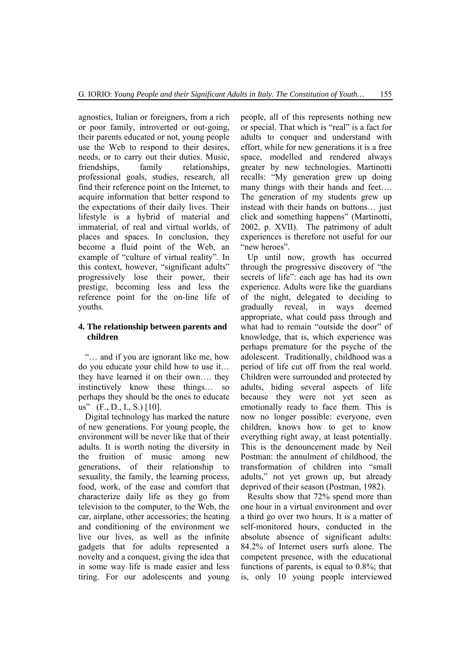agnostics, Italian or foreigners, from a rich or poor family, introverted or out-going, their parents educated or not, young people use the Web to respond to their desires, needs, or to carry out their duties. Music, friendships, family relationships, professional goals, studies, research, all find their reference point on the Internet, to acquire information that better respond to the expectations of their daily lives. Their lifestyle is a hybrid of material and immaterial, of real and virtual worlds, of places and spaces. In conclusion, they become a fluid point of the Web, an example of "culture of virtual reality". In this context, however, "significant adults" progressively lose their power, their prestige, becoming less and less the reference point for the on-line life of youths.

#### **4. The relationship between parents and children**

"… and if you are ignorant like me, how do you educate your child how to use it… they have learned it on their own…. they instinctively know these things… so perhaps they should be the ones to educate us" (F., D., I., S.) [10].

Digital technology has marked the nature of new generations. For young people, the environment will be never like that of their adults. It is worth noting the diversity in the fruition of music among new generations, of their relationship to sexuality, the family, the learning process, food, work, of the ease and comfort that characterize daily life as they go from television to the computer, to the Web, the car, airplane, other accessories; the heating and conditioning of the environment we live our lives, as well as the infinite gadgets that for adults represented a novelty and a conquest, giving the idea that in some way life is made easier and less tiring. For our adolescents and young

people, all of this represents nothing new or special. That which is "real" is a fact for adults to conquer and understand with effort, while for new generations it is a free space, modelled and rendered always greater by new technologies. Martinotti recalls: "My generation grew up doing many things with their hands and feet…. The generation of my students grew up instead with their hands on buttons… just click and something happens" (Martinotti, 2002, p. XVII). The patrimony of adult experiences is therefore not useful for our "new heroes".

Up until now, growth has occurred through the progressive discovery of "the secrets of life": each age has had its own experience. Adults were like the guardians of the night, delegated to deciding to gradually reveal, in ways deemed appropriate, what could pass through and what had to remain "outside the door" of knowledge, that is, which experience was perhaps premature for the psyche of the adolescent. Traditionally, childhood was a period of life cut off from the real world. Children were surrounded and protected by adults, hiding several aspects of life because they were not yet seen as emotionally ready to face them. This is now no longer possible: everyone, even children, knows how to get to know everything right away, at least potentially. This is the denouncement made by Neil Postman: the annulment of childhood, the transformation of children into "small adults," not yet grown up, but already deprived of their season (Postman, 1982).

Results show that 72% spend more than one hour in a virtual environment and over a third go over two hours. It is a matter of self-monitored hours, conducted in the absolute absence of significant adults: 84.2% of Internet users surfs alone. The competent presence, with the educational functions of parents, is equal to 0.8%; that is, only 10 young people interviewed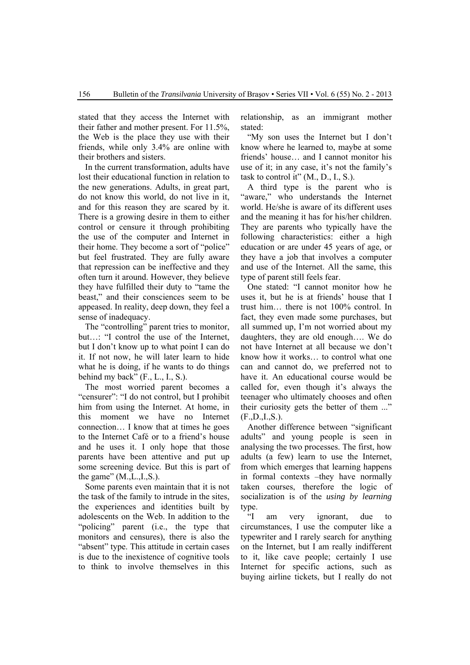stated that they access the Internet with their father and mother present. For 11.5%, the Web is the place they use with their friends, while only 3.4% are online with their brothers and sisters.

In the current transformation, adults have lost their educational function in relation to the new generations. Adults, in great part, do not know this world, do not live in it, and for this reason they are scared by it. There is a growing desire in them to either control or censure it through prohibiting the use of the computer and Internet in their home. They become a sort of "police" but feel frustrated. They are fully aware that repression can be ineffective and they often turn it around. However, they believe they have fulfilled their duty to "tame the beast," and their consciences seem to be appeased. In reality, deep down, they feel a sense of inadequacy.

The "controlling" parent tries to monitor, but…: "I control the use of the Internet, but I don't know up to what point I can do it. If not now, he will later learn to hide what he is doing, if he wants to do things behind my back" (F., L., I., S.).

The most worried parent becomes a "censurer": "I do not control, but I prohibit him from using the Internet. At home, in this moment we have no Internet connection… I know that at times he goes to the Internet Café or to a friend's house and he uses it. I only hope that those parents have been attentive and put up some screening device. But this is part of the game"  $(M.,L.,I.,S.).$ 

Some parents even maintain that it is not the task of the family to intrude in the sites, the experiences and identities built by adolescents on the Web. In addition to the "policing" parent (i.e., the type that monitors and censures), there is also the "absent" type. This attitude in certain cases is due to the inexistence of cognitive tools to think to involve themselves in this relationship, as an immigrant mother stated:

"My son uses the Internet but I don't know where he learned to, maybe at some friends' house… and I cannot monitor his use of it; in any case, it's not the family's task to control it" (M., D., I., S.).

A third type is the parent who is "aware," who understands the Internet world. He/she is aware of its different uses and the meaning it has for his/her children. They are parents who typically have the following characteristics: either a high education or are under 45 years of age, or they have a job that involves a computer and use of the Internet. All the same, this type of parent still feels fear.

One stated: "I cannot monitor how he uses it, but he is at friends' house that I trust him… there is not 100% control. In fact, they even made some purchases, but all summed up, I'm not worried about my daughters, they are old enough…. We do not have Internet at all because we don't know how it works… to control what one can and cannot do, we preferred not to have it. An educational course would be called for, even though it's always the teenager who ultimately chooses and often their curiosity gets the better of them ..."  $(F.D., I., S.).$ 

Another difference between "significant adults" and young people is seen in analysing the two processes. The first, how adults (a few) learn to use the Internet, from which emerges that learning happens in formal contexts –they have normally taken courses, therefore the logic of socialization is of the *using by learning* type.

"I am very ignorant, due to circumstances, I use the computer like a typewriter and I rarely search for anything on the Internet, but I am really indifferent to it, like cave people; certainly I use Internet for specific actions, such as buying airline tickets, but I really do not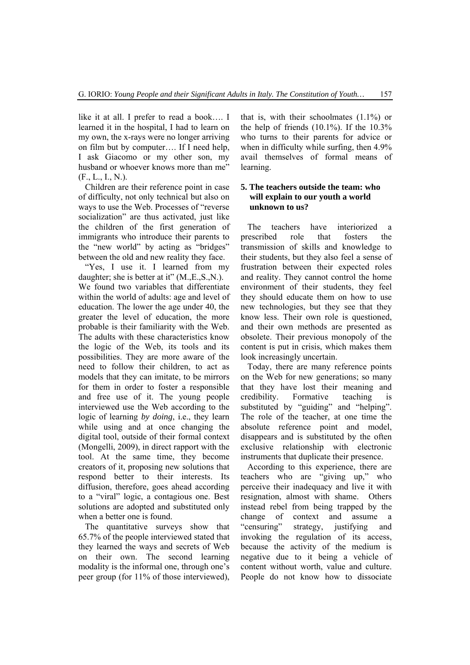like it at all. I prefer to read a book…. I learned it in the hospital, I had to learn on my own, the x-rays were no longer arriving on film but by computer…. If I need help, I ask Giacomo or my other son, my husband or whoever knows more than me"  $(F_., L_., I_., N.).$ 

Children are their reference point in case of difficulty, not only technical but also on ways to use the Web. Processes of "reverse socialization" are thus activated, just like the children of the first generation of immigrants who introduce their parents to the "new world" by acting as "bridges" between the old and new reality they face.

"Yes, I use it. I learned from my daughter; she is better at it" (M.,E.,S.,N.). We found two variables that differentiate within the world of adults: age and level of education. The lower the age under 40, the greater the level of education, the more probable is their familiarity with the Web. The adults with these characteristics know the logic of the Web, its tools and its possibilities. They are more aware of the need to follow their children, to act as models that they can imitate, to be mirrors for them in order to foster a responsible and free use of it. The young people interviewed use the Web according to the logic of learning *by doing*, i.e., they learn while using and at once changing the digital tool, outside of their formal context (Mongelli, 2009), in direct rapport with the tool. At the same time, they become creators of it, proposing new solutions that respond better to their interests. Its diffusion, therefore, goes ahead according to a "viral" logic, a contagious one. Best solutions are adopted and substituted only when a better one is found.

The quantitative surveys show that 65.7% of the people interviewed stated that they learned the ways and secrets of Web on their own. The second learning modality is the informal one, through one's peer group (for 11% of those interviewed),

that is, with their schoolmates  $(1.1\%)$  or the help of friends  $(10.1\%)$ . If the  $10.3\%$ who turns to their parents for advice or when in difficulty while surfing, then 4.9% avail themselves of formal means of learning.

#### **5. The teachers outside the team: who will explain to our youth a world unknown to us?**

The teachers have interiorized a prescribed role that fosters the transmission of skills and knowledge to their students, but they also feel a sense of frustration between their expected roles and reality. They cannot control the home environment of their students, they feel they should educate them on how to use new technologies, but they see that they know less. Their own role is questioned, and their own methods are presented as obsolete. Their previous monopoly of the content is put in crisis, which makes them look increasingly uncertain.

Today, there are many reference points on the Web for new generations; so many that they have lost their meaning and credibility. Formative teaching is substituted by "guiding" and "helping". The role of the teacher, at one time the absolute reference point and model, disappears and is substituted by the often exclusive relationship with electronic instruments that duplicate their presence.

According to this experience, there are teachers who are "giving up," who perceive their inadequacy and live it with resignation, almost with shame. Others instead rebel from being trapped by the change of context and assume a "censuring" strategy, justifying and invoking the regulation of its access, because the activity of the medium is negative due to it being a vehicle of content without worth, value and culture. People do not know how to dissociate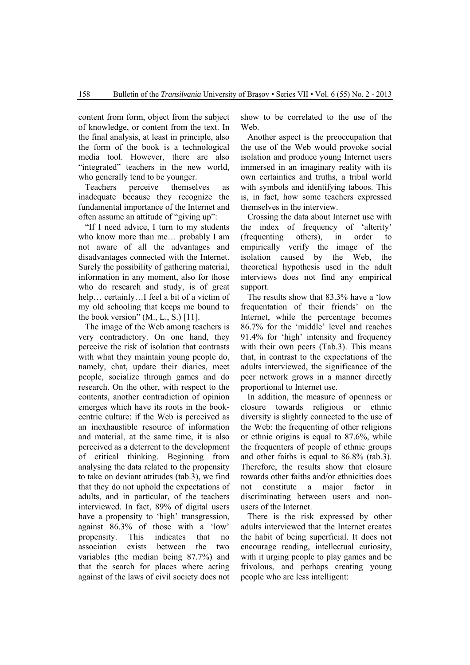content from form, object from the subject of knowledge, or content from the text. In the final analysis, at least in principle, also the form of the book is a technological media tool. However, there are also "integrated" teachers in the new world, who generally tend to be younger.

Teachers perceive themselves as inadequate because they recognize the fundamental importance of the Internet and often assume an attitude of "giving up":

"If I need advice, I turn to my students who know more than me… probably I am not aware of all the advantages and disadvantages connected with the Internet. Surely the possibility of gathering material, information in any moment, also for those who do research and study, is of great help... certainly...I feel a bit of a victim of my old schooling that keeps me bound to the book version"  $(M., L., S.)$  [11].

The image of the Web among teachers is very contradictory. On one hand, they perceive the risk of isolation that contrasts with what they maintain young people do, namely, chat, update their diaries, meet people, socialize through games and do research. On the other, with respect to the contents, another contradiction of opinion emerges which have its roots in the bookcentric culture: if the Web is perceived as an inexhaustible resource of information and material, at the same time, it is also perceived as a deterrent to the development of critical thinking. Beginning from analysing the data related to the propensity to take on deviant attitudes (tab.3), we find that they do not uphold the expectations of adults, and in particular, of the teachers interviewed. In fact, 89% of digital users have a propensity to 'high' transgression. against 86.3% of those with a 'low' propensity. This indicates that no association exists between the two variables (the median being 87.7%) and that the search for places where acting against of the laws of civil society does not

show to be correlated to the use of the Web.

Another aspect is the preoccupation that the use of the Web would provoke social isolation and produce young Internet users immersed in an imaginary reality with its own certainties and truths, a tribal world with symbols and identifying taboos. This is, in fact, how some teachers expressed themselves in the interview.

Crossing the data about Internet use with the index of frequency of 'alterity' (frequenting others), in order to empirically verify the image of the isolation caused by the Web, the theoretical hypothesis used in the adult interviews does not find any empirical support.

The results show that 83.3% have a 'low frequentation of their friends' on the Internet, while the percentage becomes 86.7% for the 'middle' level and reaches 91.4% for 'high' intensity and frequency with their own peers (Tab.3). This means that, in contrast to the expectations of the adults interviewed, the significance of the peer network grows in a manner directly proportional to Internet use.

In addition, the measure of openness or closure towards religious or ethnic diversity is slightly connected to the use of the Web: the frequenting of other religions or ethnic origins is equal to 87.6%, while the frequenters of people of ethnic groups and other faiths is equal to 86.8% (tab.3). Therefore, the results show that closure towards other faiths and/or ethnicities does not constitute a major factor in discriminating between users and nonusers of the Internet.

There is the risk expressed by other adults interviewed that the Internet creates the habit of being superficial. It does not encourage reading, intellectual curiosity, with it urging people to play games and be frivolous, and perhaps creating young people who are less intelligent: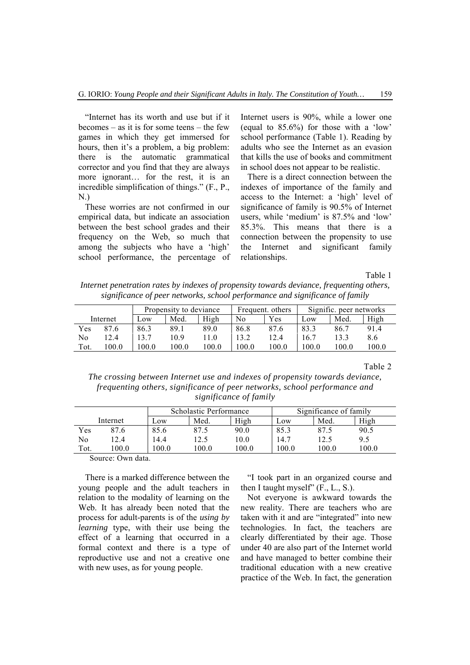"Internet has its worth and use but if it becomes – as it is for some teens – the few games in which they get immersed for hours, then it's a problem, a big problem: there is the automatic grammatical corrector and you find that they are always more ignorant... for the rest, it is an incredible simplification of things." (F., P., N.)

These worries are not confirmed in our empirical data, but indicate an association between the best school grades and their frequency on the Web, so much that among the subjects who have a 'high' school performance, the percentage of

Internet users is 90%, while a lower one (equal to 85.6%) for those with a 'low' school performance (Table 1). Reading by adults who see the Internet as an evasion that kills the use of books and commitment in school does not appear to be realistic.

There is a direct connection between the indexes of importance of the family and access to the Internet: a 'high' level of significance of family is 90.5% of Internet users, while 'medium' is 87.5% and 'low' 85.3%. This means that there is a connection between the propensity to use the Internet and significant family relationships.

Table 1

*Internet penetration rates by indexes of propensity towards deviance, frequenting others, significance of peer networks, school performance and significance of family* 

|          |       | Propensity to deviance |       |       | Frequent. others |       | Signific. peer networks |       |       |
|----------|-------|------------------------|-------|-------|------------------|-------|-------------------------|-------|-------|
| Internet |       | $\sim$ OW              | Med.  | High  | No               | Yes   | LOW                     | Med.  | High  |
| Yes      | 87.6  | 86.3                   | 89.1  | 89.0  | 86.8             | 87.6  | 83.3                    | 86.7  | 91.4  |
| No       | 12.4  | 13.7                   | 0.9   | l 1.0 | 13.2             | 12.4  | 16.7                    | 13.3  | 8.6   |
| Tot.     | 100.0 | 100.0                  | 0.001 | 100.0 | 100.0            | 100.0 | 100.0                   | 100.0 | 100.0 |

Table 2

*The crossing between Internet use and indexes of propensity towards deviance, frequenting others, significance of peer networks, school performance and significance of family* 

|          |      |      | Scholastic Performance |       | Significance of family |       |       |
|----------|------|------|------------------------|-------|------------------------|-------|-------|
| Internet |      | Low  | Med.                   | High  | Low                    | Med.  | High  |
| Yes      | 87.6 | 85.6 | 87.5                   | 90.0  | 85.3                   | 87.5  | 90.5  |
| No       | 2.4  | .4.4 |                        | 10.0  | 14.7                   | 12.5  | 9.5   |
| Tot.     | 0.00 | 0.00 | 100.0                  | 100.0 | 100.0                  | 100.0 | 100.0 |

Source: Own data.

There is a marked difference between the young people and the adult teachers in relation to the modality of learning on the Web. It has already been noted that the process for adult-parents is of the *using by learning* type, with their use being the effect of a learning that occurred in a formal context and there is a type of reproductive use and not a creative one with new uses, as for young people.

"I took part in an organized course and then I taught myself" (F., L., S.).

Not everyone is awkward towards the new reality. There are teachers who are taken with it and are "integrated" into new technologies. In fact, the teachers are clearly differentiated by their age. Those under 40 are also part of the Internet world and have managed to better combine their traditional education with a new creative practice of the Web. In fact, the generation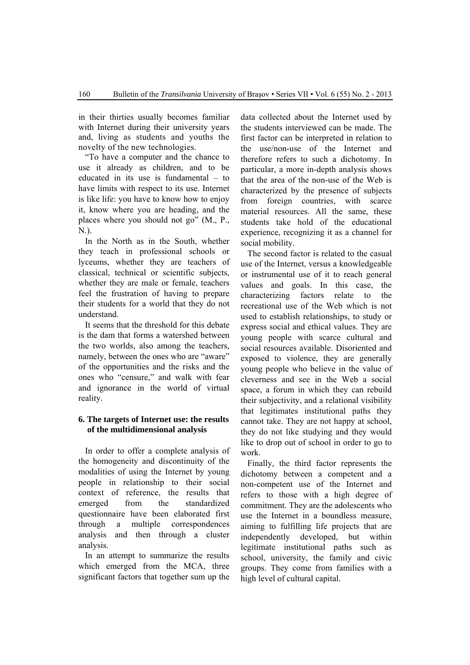in their thirties usually becomes familiar with Internet during their university years and, living as students and youths the novelty of the new technologies.

"To have a computer and the chance to use it already as children, and to be educated in its use is fundamental – to have limits with respect to its use. Internet is like life: you have to know how to enjoy it, know where you are heading, and the places where you should not go" (M., P., N.).

In the North as in the South, whether they teach in professional schools or lyceums, whether they are teachers of classical, technical or scientific subjects, whether they are male or female, teachers feel the frustration of having to prepare their students for a world that they do not understand.

It seems that the threshold for this debate is the dam that forms a watershed between the two worlds, also among the teachers, namely, between the ones who are "aware" of the opportunities and the risks and the ones who "censure," and walk with fear and ignorance in the world of virtual reality.

# **6. The targets of Internet use: the results of the multidimensional analysis**

In order to offer a complete analysis of the homogeneity and discontinuity of the modalities of using the Internet by young people in relationship to their social context of reference, the results that emerged from the standardized questionnaire have been elaborated first through a multiple correspondences analysis and then through a cluster analysis.

In an attempt to summarize the results which emerged from the MCA, three significant factors that together sum up the

data collected about the Internet used by the students interviewed can be made. The first factor can be interpreted in relation to the use/non-use of the Internet and therefore refers to such a dichotomy. In particular, a more in-depth analysis shows that the area of the non-use of the Web is characterized by the presence of subjects from foreign countries, with scarce material resources. All the same, these students take hold of the educational experience, recognizing it as a channel for social mobility.

The second factor is related to the casual use of the Internet, versus a knowledgeable or instrumental use of it to reach general values and goals. In this case, the characterizing factors relate to the recreational use of the Web which is not used to establish relationships, to study or express social and ethical values. They are young people with scarce cultural and social resources available. Disoriented and exposed to violence, they are generally young people who believe in the value of cleverness and see in the Web a social space, a forum in which they can rebuild their subjectivity, and a relational visibility that legitimates institutional paths they cannot take. They are not happy at school, they do not like studying and they would like to drop out of school in order to go to work.

Finally, the third factor represents the dichotomy between a competent and a non-competent use of the Internet and refers to those with a high degree of commitment. They are the adolescents who use the Internet in a boundless measure, aiming to fulfilling life projects that are independently developed, but within legitimate institutional paths such as school, university, the family and civic groups. They come from families with a high level of cultural capital.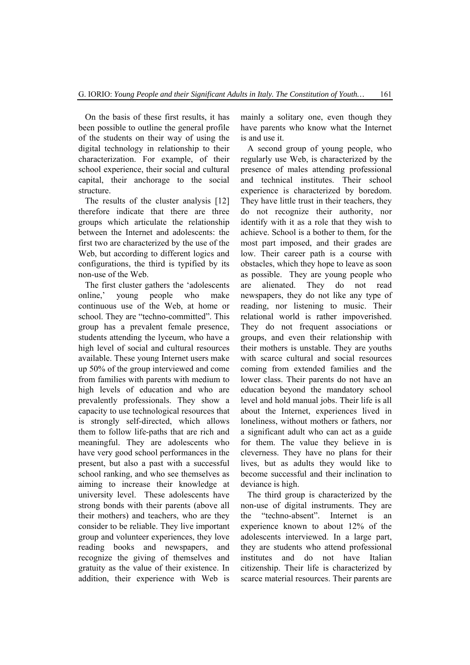On the basis of these first results, it has been possible to outline the general profile of the students on their way of using the digital technology in relationship to their characterization. For example, of their school experience, their social and cultural capital, their anchorage to the social structure.

The results of the cluster analysis [12] therefore indicate that there are three groups which articulate the relationship between the Internet and adolescents: the first two are characterized by the use of the Web, but according to different logics and configurations, the third is typified by its non-use of the Web.

The first cluster gathers the 'adolescents online,' young people who make continuous use of the Web, at home or school. They are "techno-committed". This group has a prevalent female presence, students attending the lyceum, who have a high level of social and cultural resources available. These young Internet users make up 50% of the group interviewed and come from families with parents with medium to high levels of education and who are prevalently professionals. They show a capacity to use technological resources that is strongly self-directed, which allows them to follow life-paths that are rich and meaningful. They are adolescents who have very good school performances in the present, but also a past with a successful school ranking, and who see themselves as aiming to increase their knowledge at university level. These adolescents have strong bonds with their parents (above all their mothers) and teachers, who are they consider to be reliable. They live important group and volunteer experiences, they love reading books and newspapers, and recognize the giving of themselves and gratuity as the value of their existence. In addition, their experience with Web is

mainly a solitary one, even though they have parents who know what the Internet is and use it.

A second group of young people, who regularly use Web, is characterized by the presence of males attending professional and technical institutes. Their school experience is characterized by boredom. They have little trust in their teachers, they do not recognize their authority, nor identify with it as a role that they wish to achieve. School is a bother to them, for the most part imposed, and their grades are low. Their career path is a course with obstacles, which they hope to leave as soon as possible. They are young people who are alienated. They do not read newspapers, they do not like any type of reading, nor listening to music. Their relational world is rather impoverished. They do not frequent associations or groups, and even their relationship with their mothers is unstable. They are youths with scarce cultural and social resources coming from extended families and the lower class. Their parents do not have an education beyond the mandatory school level and hold manual jobs. Their life is all about the Internet, experiences lived in loneliness, without mothers or fathers, nor a significant adult who can act as a guide for them. The value they believe in is cleverness. They have no plans for their lives, but as adults they would like to become successful and their inclination to deviance is high.

The third group is characterized by the non-use of digital instruments. They are the "techno-absent". Internet is an experience known to about 12% of the adolescents interviewed. In a large part, they are students who attend professional institutes and do not have Italian citizenship. Their life is characterized by scarce material resources. Their parents are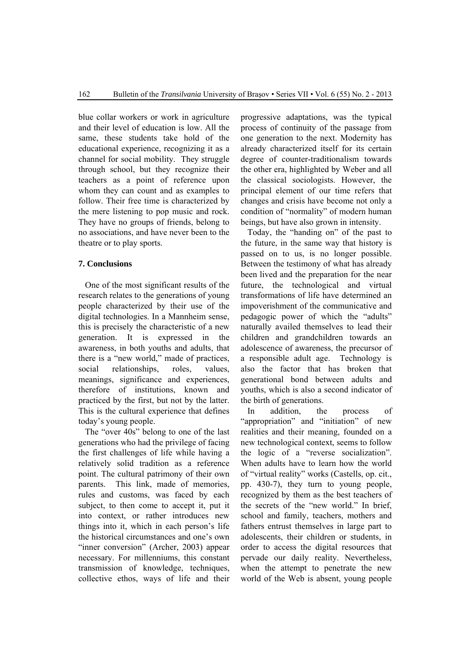blue collar workers or work in agriculture and their level of education is low. All the same, these students take hold of the educational experience, recognizing it as a channel for social mobility. They struggle through school, but they recognize their teachers as a point of reference upon whom they can count and as examples to follow. Their free time is characterized by the mere listening to pop music and rock. They have no groups of friends, belong to no associations, and have never been to the theatre or to play sports.

# **7. Conclusions**

One of the most significant results of the research relates to the generations of young people characterized by their use of the digital technologies. In a Mannheim sense, this is precisely the characteristic of a new generation. It is expressed in the awareness, in both youths and adults, that there is a "new world," made of practices, social relationships, roles, values, meanings, significance and experiences, therefore of institutions, known and practiced by the first, but not by the latter. This is the cultural experience that defines today's young people.

The "over 40s" belong to one of the last generations who had the privilege of facing the first challenges of life while having a relatively solid tradition as a reference point. The cultural patrimony of their own parents. This link, made of memories, rules and customs, was faced by each subject, to then come to accept it, put it into context, or rather introduces new things into it, which in each person's life the historical circumstances and one's own "inner conversion" (Archer, 2003) appear necessary. For millenniums, this constant transmission of knowledge, techniques, collective ethos, ways of life and their

progressive adaptations, was the typical process of continuity of the passage from one generation to the next. Modernity has already characterized itself for its certain degree of counter-traditionalism towards the other era, highlighted by Weber and all the classical sociologists. However, the principal element of our time refers that changes and crisis have become not only a condition of "normality" of modern human beings, but have also grown in intensity.

Today, the "handing on" of the past to the future, in the same way that history is passed on to us, is no longer possible. Between the testimony of what has already been lived and the preparation for the near future, the technological and virtual transformations of life have determined an impoverishment of the communicative and pedagogic power of which the "adults" naturally availed themselves to lead their children and grandchildren towards an adolescence of awareness, the precursor of a responsible adult age. Technology is also the factor that has broken that generational bond between adults and youths, which is also a second indicator of the birth of generations.

In addition, the process of "appropriation" and "initiation" of new realities and their meaning, founded on a new technological context, seems to follow the logic of a "reverse socialization". When adults have to learn how the world of "virtual reality" works (Castells, op. cit., pp. 430-7), they turn to young people, recognized by them as the best teachers of the secrets of the "new world." In brief, school and family, teachers, mothers and fathers entrust themselves in large part to adolescents, their children or students, in order to access the digital resources that pervade our daily reality. Nevertheless, when the attempt to penetrate the new world of the Web is absent, young people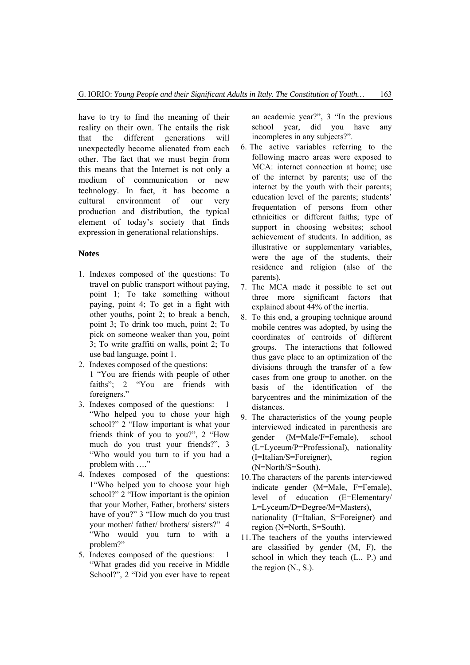have to try to find the meaning of their reality on their own. The entails the risk that the different generations will unexpectedly become alienated from each other. The fact that we must begin from this means that the Internet is not only a medium of communication or new technology. In fact, it has become a cultural environment of our very production and distribution, the typical element of today's society that finds expression in generational relationships.

#### **Notes**

- 1. Indexes composed of the questions: To travel on public transport without paying, point 1; To take something without paying, point 4; To get in a fight with other youths, point 2; to break a bench, point 3; To drink too much, point 2; To pick on someone weaker than you, point 3; To write graffiti on walls, point 2; To use bad language, point 1.
- 2. Indexes composed of the questions: 1 "You are friends with people of other faiths"; 2 "You are friends with foreigners."
- 3. Indexes composed of the questions: 1 "Who helped you to chose your high school?" 2 "How important is what your friends think of you to you?", 2 "How much do you trust your friends?", 3 "Who would you turn to if you had a problem with …."
- 4. Indexes composed of the questions: 1"Who helped you to choose your high school?" 2 "How important is the opinion that your Mother, Father, brothers/ sisters have of you?" 3 "How much do you trust your mother/ father/ brothers/ sisters?" 4 "Who would you turn to with a problem?"
- 5. Indexes composed of the questions: 1 "What grades did you receive in Middle School?", 2 "Did you ever have to repeat

an academic year?", 3 "In the previous school year, did you have any incompletes in any subjects?".

- 6. The active variables referring to the following macro areas were exposed to MCA: internet connection at home; use of the internet by parents; use of the internet by the youth with their parents; education level of the parents; students' frequentation of persons from other ethnicities or different faiths; type of support in choosing websites; school achievement of students. In addition, as illustrative or supplementary variables, were the age of the students, their residence and religion (also of the parents).
- 7. The MCA made it possible to set out three more significant factors that explained about 44% of the inertia.
- 8. To this end, a grouping technique around mobile centres was adopted, by using the coordinates of centroids of different groups. The interactions that followed thus gave place to an optimization of the divisions through the transfer of a few cases from one group to another, on the basis of the identification of the barycentres and the minimization of the distances.
- 9. The characteristics of the young people interviewed indicated in parenthesis are gender (M=Male/F=Female), school (L=Lyceum/P=Professional), nationality (I=Italian/S=Foreigner), region (N=North/S=South).
- 10.The characters of the parents interviewed indicate gender (M=Male, F=Female), level of education (E=Elementary/ L=Lyceum/D=Degree/M=Masters), nationality (I=Italian, S=Foreigner) and region (N=North, S=South).
- 11.The teachers of the youths interviewed are classified by gender (M, F), the school in which they teach (L., P.) and the region (N., S.).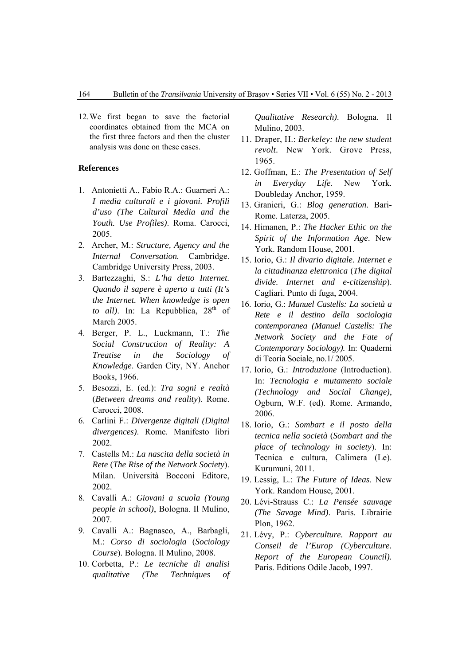12.We first began to save the factorial coordinates obtained from the MCA on the first three factors and then the cluster analysis was done on these cases.

#### **References**

- 1. Antonietti A., Fabio R.A.: Guarneri A.: *I media culturali e i giovani. Profili d'uso (The Cultural Media and the Youth. Use Profiles)*. Roma. Carocci, 2005.
- 2. Archer, M.: *Structure, Agency and the Internal Conversation.* Cambridge. Cambridge University Press, 2003.
- 3. Bartezzaghi, S.: *L'ha detto Internet. Quando il sapere è aperto a tutti (It's the Internet. When knowledge is open to all*). In: La Repubblica, 28<sup>th</sup> of March 2005.
- 4. Berger, P. L., Luckmann, T.: *The Social Construction of Reality: A Treatise in the Sociology of Knowledge*. Garden City, NY. Anchor Books, 1966.
- 5. Besozzi, E. (ed.): *Tra sogni e realtà*  (*Between dreams and reality*). Rome. Carocci, 2008.
- 6. Carlini F.: *Divergenze digitali (Digital divergences)*. Rome. Manifesto libri 2002.
- 7. Castells M.: *La nascita della società in Rete* (*The Rise of the Network Society*). Milan. Università Bocconi Editore, 2002.
- 8. Cavalli A.: *Giovani a scuola (Young people in school)*, Bologna. Il Mulino, 2007.
- 9. Cavalli A.: Bagnasco, A., Barbagli, M.: *Corso di sociologia* (*Sociology Course*). Bologna. Il Mulino, 2008.
- 10. Corbetta, P.: *Le tecniche di analisi qualitative (The Techniques of*

*Qualitative Research)*. Bologna. Il Mulino, 2003.

- 11. Draper, H.: *Berkeley: the new student revolt.* New York. Grove Press, 1965.
- 12. Goffman, E.: *The Presentation of Self in Everyday Life.* New York. Doubleday Anchor, 1959.
- 13. Granieri, G.: *Blog generation*. Bari-Rome. Laterza, 2005.
- 14. Himanen, P.: *The Hacker Ethic on the Spirit of the Information Age*. New York. Random House, 2001.
- 15. Iorio, G.: *Il divario digitale. Internet e la cittadinanza elettronica* (*The digital divide. Internet and e-citizenship*). Cagliari. Punto di fuga, 2004.
- 16. Iorio, G.: *Manuel Castells: La società a Rete e il destino della sociologia contemporanea (Manuel Castells: The Network Society and the Fate of Contemporary Sociology).* In: Quaderni di Teoria Sociale, no.1/ 2005.
- 17. Iorio, G.: *Introduzione* (Introduction). In: *Tecnologia e mutamento sociale (Technology and Social Change)*, Ogburn, W.F. (ed). Rome. Armando, 2006.
- 18. Iorio, G.: *Sombart e il posto della tecnica nella società* (*Sombart and the place of technology in society*). In: Tecnica e cultura, Calimera (Le). Kurumuni, 2011.
- 19. Lessig, L.: *The Future of Ideas*. New York. Random House, 2001.
- 20. Lévi-Strauss C.: *La Pensée sauvage (The Savage Mind)*. Paris. Librairie Plon, 1962.
- 21. Lévy, P.: *Cyberculture. Rapport au Conseil de l'Europ (Cyberculture. Report of the European Council).* Paris. Editions Odile Jacob, 1997.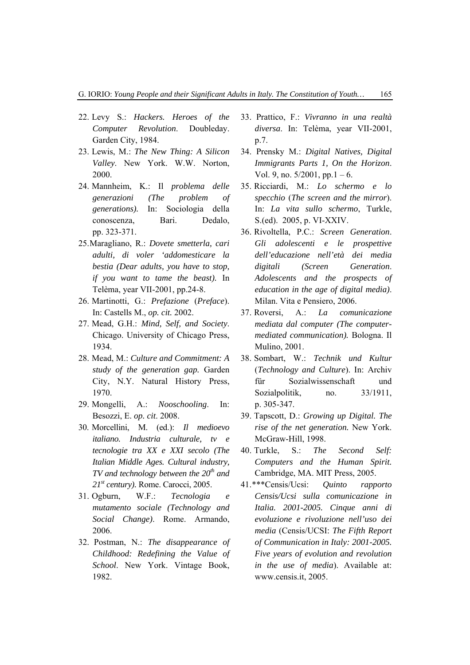- 22. Levy S.: *Hackers. Heroes of the Computer Revolution*. Doubleday. Garden City, 1984.
- 23. Lewis, M.: *The New Thing: A Silicon Valley*. New York. W.W. Norton, 2000.
- 24. Mannheim, K.: Il *problema delle generazioni (The problem of generations).* In: Sociologia della conoscenza, Bari. Dedalo, pp. 323-371.
- 25.Maragliano, R.: *Dovete smetterla, cari adulti, di voler 'addomesticare la bestia (Dear adults, you have to stop, if you want to tame the beast).* In Telèma, year VII-2001, pp.24-8.
- 26. Martinotti, G.: *Prefazione* (*Preface*). In: Castells M., *op. cit.* 2002.
- 27. Mead, G.H.: *Mind, Self, and Society*. Chicago. University of Chicago Press, 1934.
- 28. Mead, M.: *Culture and Commitment: A study of the generation gap.* Garden City, N.Y. Natural History Press, 1970.
- 29. Mongelli, A.: *Nooschooling*. In: Besozzi, E. *op. cit*. 2008.
- 30. Morcellini, M. (ed.): *Il medioevo italiano. Industria culturale, tv e tecnologie tra XX e XXI secolo (The Italian Middle Ages. Cultural industry, TV and technology between the 20<sup>th</sup> and 21st century).* Rome. Carocci, 2005.
- 31. Ogburn, W.F.: *Tecnologia e mutamento sociale (Technology and Social Change)*. Rome. Armando, 2006.
- 32. Postman, N.: *The disappearance of Childhood: Redefining the Value of School*. New York. Vintage Book, 1982.
- 33. Prattico, F.: *Vivranno in una realtà diversa*. In: Telèma, year VII-2001, p.7.
- 34. Prensky M.: *Digital Natives, Digital Immigrants Parts 1, On the Horizon*. Vol. 9, no.  $5/2001$ , pp. 1 – 6.
- 35. Ricciardi, M.: *Lo schermo e lo specchio* (*The screen and the mirror*). In: *La vita sullo schermo*, Turkle, S.(ed). 2005, p. VI-XXIV.
- 36. Rivoltella, P.C.: *Screen Generation*. *Gli adolescenti e le prospettive dell'educazione nell'età dei media digitali (Screen Generation*. *Adolescents and the prospects of education in the age of digital media)*. Milan. Vita e Pensiero, 2006.
- 37. Roversi, A.: *La comunicazione mediata dal computer (The computermediated communication).* Bologna. Il Mulino, 2001.
- 38. Sombart, W.: *Technik und Kultur*  (*Technology and Culture*). In: Archiv für Sozialwissenschaft und Sozialpolitik, no. 33/1911, p. 305-347.
- 39. Tapscott, D.: *Growing up Digital. The rise of the net generation.* New York. McGraw-Hill, 1998.
- 40. Turkle, S.: *The Second Self: Computers and the Human Spirit.* Cambridge, MA. MIT Press, 2005.
- 41.\*\*\*Censis/Ucsi: *Quinto rapporto Censis/Ucsi sulla comunicazione in Italia. 2001-2005. Cinque anni di evoluzione e rivoluzione nell'uso dei media* (Censis/UCSI: *The Fifth Report of Communication in Italy: 2001-2005. Five years of evolution and revolution in the use of media*). Available at: www.censis.it, 2005.